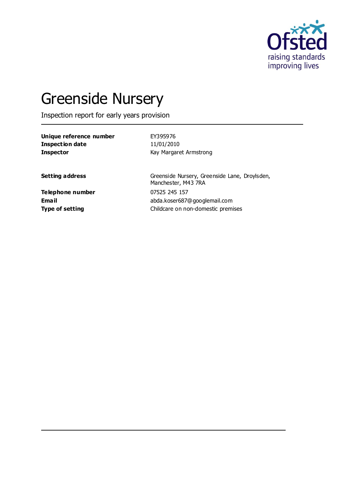

# Greenside Nursery

Inspection report for early years provision

| Unique reference number | EY395976               |
|-------------------------|------------------------|
| Inspection date         | 11/01/2010             |
| <b>Inspector</b>        | Kay Margaret Armstrong |

Setting address **Setting address** Greenside Nursery, Greenside Lane, Droylsden, Manchester, M43 7RA **Email** abda.koser687@googlemail.com **Type of setting Childcare on non-domestic premises** 

**Telephone number** 07525 245 157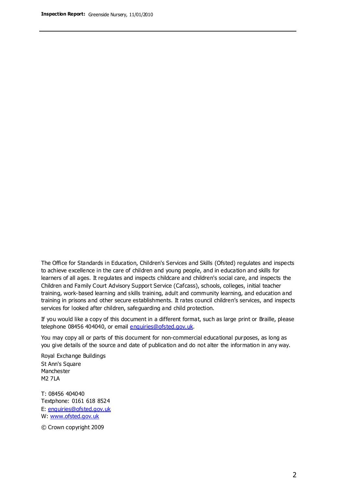The Office for Standards in Education, Children's Services and Skills (Ofsted) regulates and inspects to achieve excellence in the care of children and young people, and in education and skills for learners of all ages. It regulates and inspects childcare and children's social care, and inspects the Children and Family Court Advisory Support Service (Cafcass), schools, colleges, initial teacher training, work-based learning and skills training, adult and community learning, and education and training in prisons and other secure establishments. It rates council children's services, and inspects services for looked after children, safeguarding and child protection.

If you would like a copy of this document in a different format, such as large print or Braille, please telephone 08456 404040, or email enquiries@ofsted.gov.uk.

You may copy all or parts of this document for non-commercial educational purposes, as long as you give details of the source and date of publication and do not alter the information in any way.

Royal Exchange Buildings St Ann's Square Manchester M2 7LA

T: 08456 404040 Textphone: 0161 618 8524 E: enquiries@ofsted.gov.uk W: [www.ofsted.gov.uk](http://www.ofsted.gov.uk/)

© Crown copyright 2009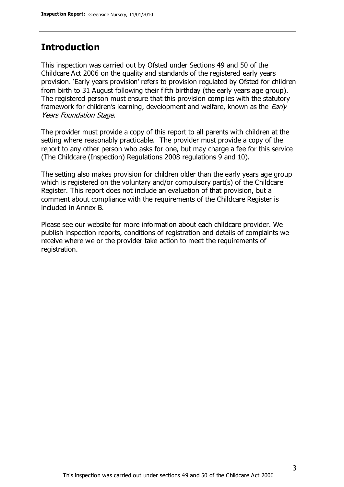## **Introduction**

This inspection was carried out by Ofsted under Sections 49 and 50 of the Childcare Act 2006 on the quality and standards of the registered early years provision. 'Early years provision' refers to provision regulated by Ofsted for children from birth to 31 August following their fifth birthday (the early years age group). The registered person must ensure that this provision complies with the statutory framework for children's learning, development and welfare, known as the *Early* Years Foundation Stage.

The provider must provide a copy of this report to all parents with children at the setting where reasonably practicable. The provider must provide a copy of the report to any other person who asks for one, but may charge a fee for this service (The Childcare (Inspection) Regulations 2008 regulations 9 and 10).

The setting also makes provision for children older than the early years age group which is registered on the voluntary and/or compulsory part(s) of the Childcare Register. This report does not include an evaluation of that provision, but a comment about compliance with the requirements of the Childcare Register is included in Annex B.

Please see our website for more information about each childcare provider. We publish inspection reports, conditions of registration and details of complaints we receive where we or the provider take action to meet the requirements of registration.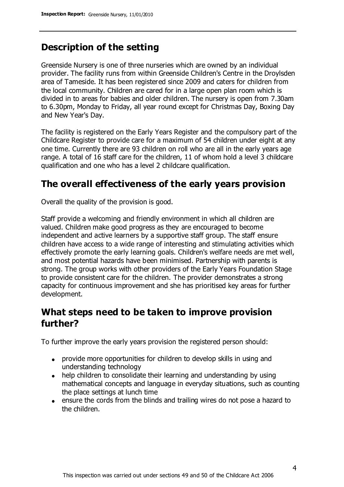# **Description of the setting**

Greenside Nursery is one of three nurseries which are owned by an individual provider. The facility runs from within Greenside Children's Centre in the Droylsden area of Tameside. It has been registered since 2009 and caters for children from the local community. Children are cared for in a large open plan room which is divided in to areas for babies and older children. The nursery is open from 7.30am to 6.30pm, Monday to Friday, all year round except for Christmas Day, Boxing Day and New Year's Day.

The facility is registered on the Early Years Register and the compulsory part of the Childcare Register to provide care for a maximum of 54 children under eight at any one time. Currently there are 93 children on roll who are all in the early years age range. A total of 16 staff care for the children, 11 of whom hold a level 3 childcare qualification and one who has a level 2 childcare qualification.

## **The overall effectiveness of the early years provision**

Overall the quality of the provision is good.

Staff provide a welcoming and friendly environment in which all children are valued. Children make good progress as they are encouraged to become independent and active learners by a supportive staff group. The staff ensure children have access to a wide range of interesting and stimulating activities which effectively promote the early learning goals. Children's welfare needs are met well, and most potential hazards have been minimised. Partnership with parents is strong. The group works with other providers of the Early Years Foundation Stage to provide consistent care for the children. The provider demonstrates a strong capacity for continuous improvement and she has prioritised key areas for further development.

# **What steps need to be taken to improve provision further?**

To further improve the early years provision the registered person should:

- provide more opportunities for children to develop skills in using and understanding technology
- help children to consolidate their learning and understanding by using mathematical concepts and language in everyday situations, such as counting the place settings at lunch time
- ensure the cords from the blinds and trailing wires do not pose a hazard to the children.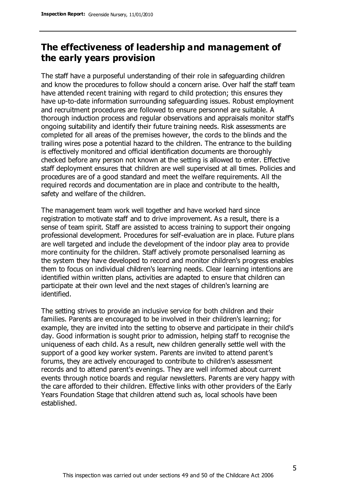## **The effectiveness of leadership and management of the early years provision**

The staff have a purposeful understanding of their role in safeguarding children and know the procedures to follow should a concern arise. Over half the staff team have attended recent training with regard to child protection; this ensures they have up-to-date information surrounding safeguarding issues. Robust employment and recruitment procedures are followed to ensure personnel are suitable. A thorough induction process and regular observations and appraisals monitor staff's ongoing suitability and identify their future training needs. Risk assessments are completed for all areas of the premises however, the cords to the blinds and the trailing wires pose a potential hazard to the children. The entrance to the building is effectively monitored and official identification documents are thoroughly checked before any person not known at the setting is allowed to enter. Effective staff deployment ensures that children are well supervised at all times. Policies and procedures are of a good standard and meet the welfare requirements. All the required records and documentation are in place and contribute to the health, safety and welfare of the children.

The management team work well together and have worked hard since registration to motivate staff and to drive improvement. As a result, there is a sense of team spirit. Staff are assisted to access training to support their ongoing professional development. Procedures for self-evaluation are in place. Future plans are well targeted and include the development of the indoor play area to provide more continuity for the children. Staff actively promote personalised learning as the system they have developed to record and monitor children's progress enables them to focus on individual children's learning needs. Clear learning intentions are identified within written plans, activities are adapted to ensure that children can participate at their own level and the next stages of children's learning are identified.

The setting strives to provide an inclusive service for both children and their families. Parents are encouraged to be involved in their children's learning; for example, they are invited into the setting to observe and participate in their child's day. Good information is sought prior to admission, helping staff to recognise the uniqueness of each child. As a result, new children generally settle well with the support of a good key worker system. Parents are invited to attend parent's forums, they are actively encouraged to contribute to children's assessment records and to attend parent's evenings. They are well informed about current events through notice boards and regular newsletters. Parents are very happy with the care afforded to their children. Effective links with other providers of the Early Years Foundation Stage that children attend such as, local schools have been established.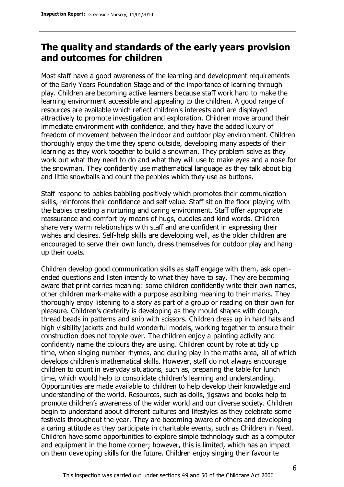# **The quality and standards of the early years provision and outcomes for children**

Most staff have a good awareness of the learning and development requirements of the Early Years Foundation Stage and of the importance of learning through play. Children are becoming active learners because staff work hard to make the learning environment accessible and appealing to the children. A good range of resources are available which reflect children's interests and are displayed attractively to promote investigation and exploration. Children move around their immediate environment with confidence, and they have the added luxury of freedom of movement between the indoor and outdoor play environment. Children thoroughly enjoy the time they spend outside, developing many aspects of their learning as they work together to build a snowman. They problem solve as they work out what they need to do and what they will use to make eyes and a nose for the snowman. They confidently use mathematical language as they talk about big and little snowballs and count the pebbles which they use as buttons.

Staff respond to babies babbling positively which promotes their communication skills, reinforces their confidence and self value. Staff sit on the floor playing with the babies creating a nurturing and caring environment. Staff offer appropriate reassurance and comfort by means of hugs, cuddles and kind words. Children share very warm relationships with staff and are confident in expressing their wishes and desires. Self-help skills are developing well, as the older children are encouraged to serve their own lunch, dress themselves for outdoor play and hang up their coats.

Children develop good communication skills as staff engage with them, ask openended questions and listen intently to what they have to say. They are becoming aware that print carries meaning: some children confidently write their own names, other children mark-make with a purpose ascribing meaning to their marks. They thoroughly enjoy listening to a story as part of a group or reading on their own for pleasure. Children's dexterity is developing as they mould shapes with dough, thread beads in patterns and snip with scissors. Children dress up in hard hats and high visibility jackets and build wonderful models, working together to ensure their construction does not topple over. The children enjoy a painting activity and confidently name the colours they are using. Children count by rote at tidy up time, when singing number rhymes, and during play in the maths area, all of which develops children's mathematical skills. However, staff do not always encourage children to count in everyday situations, such as, preparing the table for lunch time, which would help to consolidate children's learning and understanding. Opportunities are made available to children to help develop their knowledge and understanding of the world. Resources, such as dolls, jigsaws and books help to promote children's awareness of the wider world and our diverse society. Children begin to understand about different cultures and lifestyles as they celebrate some festivals throughout the year. They are becoming aware of others and developing a caring attitude as they participate in charitable events, such as Children in Need. Children have some opportunities to explore simple technology such as a computer and equipment in the home corner; however, this is limited, which has an impact on them developing skills for the future. Children enjoy singing their favourite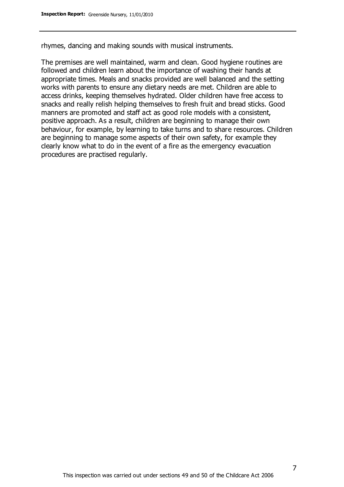rhymes, dancing and making sounds with musical instruments.

The premises are well maintained, warm and clean. Good hygiene routines are followed and children learn about the importance of washing their hands at appropriate times. Meals and snacks provided are well balanced and the setting works with parents to ensure any dietary needs are met. Children are able to access drinks, keeping themselves hydrated. Older children have free access to snacks and really relish helping themselves to fresh fruit and bread sticks. Good manners are promoted and staff act as good role models with a consistent, positive approach. As a result, children are beginning to manage their own behaviour, for example, by learning to take turns and to share resources. Children are beginning to manage some aspects of their own safety, for example they clearly know what to do in the event of a fire as the emergency evacuation procedures are practised regularly.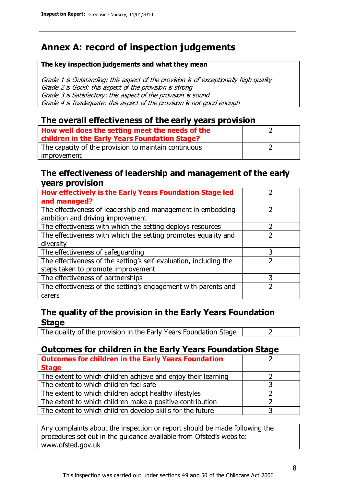# **Annex A: record of inspection judgements**

#### **The key inspection judgements and what they mean**

Grade 1 is Outstanding: this aspect of the provision is of exceptionally high quality Grade 2 is Good: this aspect of the provision is strong Grade 3 is Satisfactory: this aspect of the provision is sound Grade 4 is Inadequate: this aspect of the provision is not good enough

#### **The overall effectiveness of the early years provision**

| How well does the setting meet the needs of the<br>children in the Early Years Foundation Stage? |  |
|--------------------------------------------------------------------------------------------------|--|
| The capacity of the provision to maintain continuous                                             |  |
| improvement                                                                                      |  |

#### **The effectiveness of leadership and management of the early years provision**

| How effectively is the Early Years Foundation Stage led           |   |
|-------------------------------------------------------------------|---|
| and managed?                                                      |   |
| The effectiveness of leadership and management in embedding       |   |
| ambition and driving improvement                                  |   |
| The effectiveness with which the setting deploys resources        |   |
| The effectiveness with which the setting promotes equality and    |   |
| diversity                                                         |   |
| The effectiveness of safeguarding                                 | 3 |
| The effectiveness of the setting's self-evaluation, including the |   |
| steps taken to promote improvement                                |   |
| The effectiveness of partnerships                                 | 3 |
| The effectiveness of the setting's engagement with parents and    |   |
| carers                                                            |   |

### **The quality of the provision in the Early Years Foundation Stage**

The quality of the provision in the Early Years Foundation Stage  $\vert$  2

## **Outcomes for children in the Early Years Foundation Stage**

| <b>Outcomes for children in the Early Years Foundation</b>    |  |
|---------------------------------------------------------------|--|
| <b>Stage</b>                                                  |  |
| The extent to which children achieve and enjoy their learning |  |
| The extent to which children feel safe                        |  |
| The extent to which children adopt healthy lifestyles         |  |
| The extent to which children make a positive contribution     |  |
| The extent to which children develop skills for the future    |  |

Any complaints about the inspection or report should be made following the procedures set out in the guidance available from Ofsted's website: www.ofsted.gov.uk